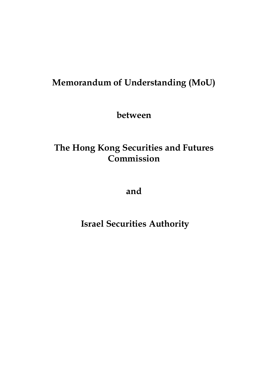# **Memorandum of Understanding (MoU)**

**between**

# **The Hong Kong Securities and Futures Commission**

**and**

**Israel Securities Authority**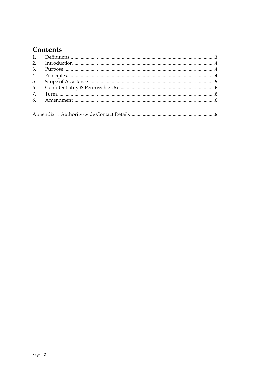# Contents

| 5. |  |
|----|--|
|    |  |
|    |  |
|    |  |
|    |  |
|    |  |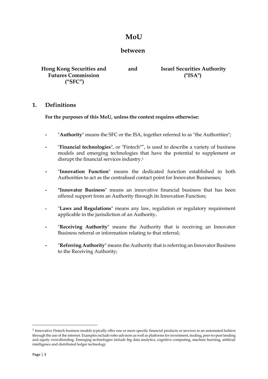# **MoU**

## **between**

**Hong Kong Securities and Futures Commission ("SFC")** 

**and Israel Securities Authority ("ISA")**

#### <span id="page-2-0"></span>**1. Definitions**

#### **For the purposes of this MoU, unless the context requires otherwise:**

- **-** "**Authority**" means the SFC or the ISA, together referred to as "the Authorities";
- **-** "**Financial technologies**", or "Fintech"", is used to describe a variety of business models and emerging technologies that have the potential to supplement or disrupt the financial services industry.<sup>1</sup>
- **-** "**Innovation Function**" means the dedicated function established in both Authorities to act as the centralised contact point for Innovator Businesses;
- **- "Innovator Business**" means an innovative financial business that has been offered support from an Authority through its Innovation Function;
- **-** "**Laws and Regulations**" means any law, regulation or regulatory requirement applicable in the jurisdiction of an Authority**.**
- **-** "**Receiving Authority**" means the Authority that is receiving an Innovator Business referral or information relating to that referral;
- **-** "**Referring Authority**" means the Authority that is referring an Innovator Business to the Receiving Authority;

**.** 

<sup>&</sup>lt;sup>1</sup> Innovative Fintech business models typically offer one or more specific financial products or services in an automated fashion through the use of the internet. Examples include robo-advisors as well as platforms for investment, trading, peer-to-peer lending and equity crowdfunding. Emerging technologies include big data analytics, cognitive computing, machine learning, artificial intelligence and distributed ledger technology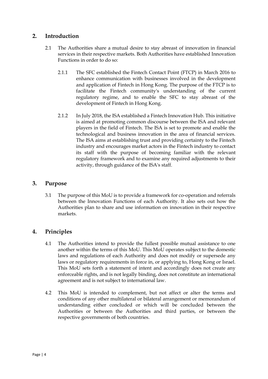### <span id="page-3-0"></span>**2. Introduction**

- 2.1 The Authorities share a mutual desire to stay abreast of innovation in financial services in their respective markets. Both Authorities have established Innovation Functions in order to do so:
	- 2.1.1 The SFC established the Fintech Contact Point (FTCP) in March 2016 to enhance communication with businesses involved in the development and application of Fintech in Hong Kong. The purpose of the FTCP is to facilitate the Fintech community's understanding of the current regulatory regime, and to enable the SFC to stay abreast of the development of Fintech in Hong Kong.
	- 2.1.2 In July 2018, the ISA established a Fintech Innovation Hub. This initiative is aimed at promoting common discourse between the ISA and relevant players in the field of Fintech. The ISA is set to promote and enable the technological and business innovation in the area of financial services. The ISA aims at establishing trust and providing certainty to the Fintech industry and encourages market actors in the Fintech industry to contact its staff with the purpose of becoming familiar with the relevant regulatory framework and to examine any required adjustments to their activity, through guidance of the ISA's staff.

## <span id="page-3-1"></span>**3. Purpose**

3.1 The purpose of this MoU is to provide a framework for co-operation and referrals between the Innovation Functions of each Authority. It also sets out how the Authorities plan to share and use information on innovation in their respective markets.

# <span id="page-3-2"></span>**4. Principles**

- 4.1 The Authorities intend to provide the fullest possible mutual assistance to one another within the terms of this MoU. This MoU operates subject to the domestic laws and regulations of each Authority and does not modify or supersede any laws or regulatory requirements in force in, or applying to, Hong Kong or Israel. This MoU sets forth a statement of intent and accordingly does not create any enforceable rights, and is not legally binding, does not constitute an international agreement and is not subject to international law.
- 4.2 This MoU is intended to complement, but not affect or alter the terms and conditions of any other multilateral or bilateral arrangement or memorandum of understanding either concluded or which will be concluded between the Authorities or between the Authorities and third parties, or between the respective governments of both countries.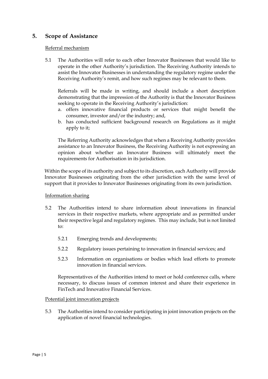### <span id="page-4-0"></span>**5. Scope of Assistance**

#### Referral mechanism

5.1 The Authorities will refer to each other Innovator Businesses that would like to operate in the other Authority's jurisdiction. The Receiving Authority intends to assist the Innovator Businesses in understanding the regulatory regime under the Receiving Authority's remit, and how such regimes may be relevant to them.

Referrals will be made in writing, and should include a short description demonstrating that the impression of the Authority is that the Innovator Business seeking to operate in the Receiving Authority's jurisdiction:

- a. offers innovative financial products or services that might benefit the consumer, investor and/or the industry; and,
- b. has conducted sufficient background research on Regulations as it might apply to it;

The Referring Authority acknowledges that when a Receiving Authority provides assistance to an Innovator Business, the Receiving Authority is not expressing an opinion about whether an Innovator Business will ultimately meet the requirements for Authorisation in its jurisdiction.

Within the scope of its authority and subject to its discretion, each Authority will provide Innovator Businesses originating from the other jurisdiction with the same level of support that it provides to Innovator Businesses originating from its own jurisdiction.

#### Information sharing

- 5.2 The Authorities intend to share information about innovations in financial services in their respective markets, where appropriate and as permitted under their respective legal and regulatory regimes. This may include, but is not limited to:
	- 5.2.1 Emerging trends and developments;
	- 5.2.2 Regulatory issues pertaining to innovation in financial services; and
	- 5.2.3 Information on organisations or bodies which lead efforts to promote innovation in financial services.

Representatives of the Authorities intend to meet or hold conference calls, where necessary, to discuss issues of common interest and share their experience in FinTech and Innovative Financial Services.

#### Potential joint innovation projects

5.3 The Authorities intend to consider participating in joint innovation projects on the application of novel financial technologies.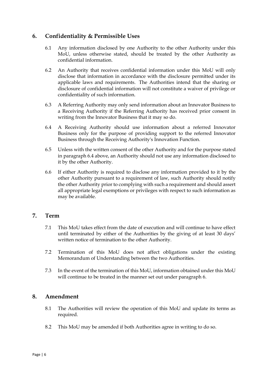### <span id="page-5-0"></span>**6. Confidentiality & Permissible Uses**

- 6.1 Any information disclosed by one Authority to the other Authority under this MoU, unless otherwise stated, should be treated by the other Authority as confidential information.
- 6.2 An Authority that receives confidential information under this MoU will only disclose that information in accordance with the disclosure permitted under its applicable laws and requirements. The Authorities intend that the sharing or disclosure of confidential information will not constitute a waiver of privilege or confidentiality of such information.
- 6.3 A Referring Authority may only send information about an Innovator Business to a Receiving Authority if the Referring Authority has received prior consent in writing from the Innovator Business that it may so do.
- 6.4 A Receiving Authority should use information about a referred Innovator Business only for the purpose of providing support to the referred Innovator Business through the Receiving Authority's Innovation Function.
- 6.5 Unless with the written consent of the other Authority and for the purpose stated in paragraph 6.4 above, an Authority should not use any information disclosed to it by the other Authority.
- 6.6 If either Authority is required to disclose any information provided to it by the other Authority pursuant to a requirement of law, such Authority should notify the other Authority prior to complying with such a requirement and should assert all appropriate legal exemptions or privileges with respect to such information as may be available.

#### <span id="page-5-1"></span>**7. Term**

- 7.1 This MoU takes effect from the date of execution and will continue to have effect until terminated by either of the Authorities by the giving of at least 30 days' written notice of termination to the other Authority.
- 7.2 Termination of this MoU does not affect obligations under the existing Memorandum of Understanding between the two Authorities.
- 7.3 In the event of the termination of this MoU, information obtained under this MoU will continue to be treated in the manner set out under paragraph 6.

#### <span id="page-5-2"></span>**8. Amendment**

- 8.1 The Authorities will review the operation of this MoU and update its terms as required.
- 8.2 This MoU may be amended if both Authorities agree in writing to do so.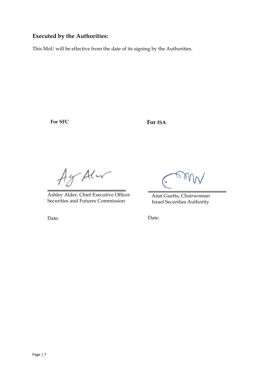## **Executed by the Authorities:**

This MoU will be effective from the date of its signing by the Authorities.

**For SFC**

**For ISA**

Agr Aler

Ashley Alder, Chief Executive Officer Securities and Futures Commission

Anat Guetta, Chairwoman Israel Securities Authority

Date:

Date: